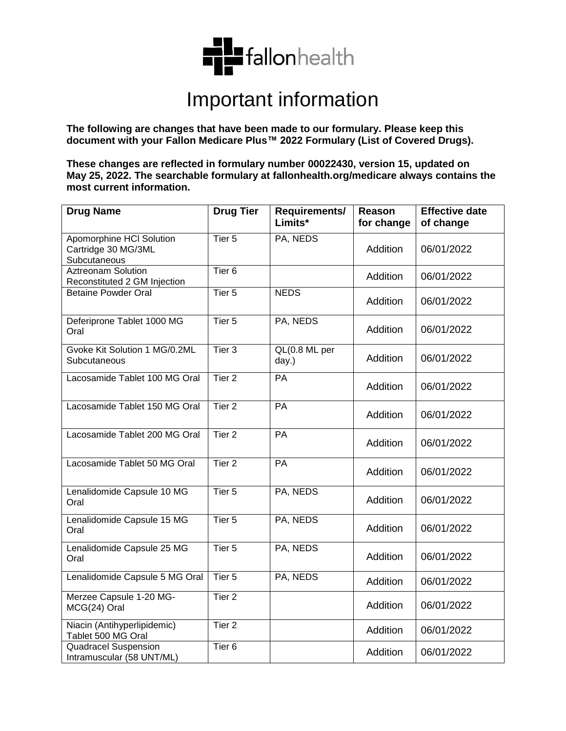

## Important information

**The following are changes that have been made to our formulary. Please keep this document with your Fallon Medicare Plus™ 2022 Formulary (List of Covered Drugs).**

**These changes are reflected in formulary number 00022430, version 15, updated on May 25, 2022. The searchable formulary at fallonhealth.org/medicare always contains the most current information.** 

| <b>Drug Name</b>                                                | <b>Drug Tier</b>  | Requirements/<br>Limits*                | Reason<br>for change | <b>Effective date</b><br>of change |
|-----------------------------------------------------------------|-------------------|-----------------------------------------|----------------------|------------------------------------|
| Apomorphine HCI Solution<br>Cartridge 30 MG/3ML<br>Subcutaneous | Tier <sub>5</sub> | PA, NEDS                                | Addition             | 06/01/2022                         |
| <b>Aztreonam Solution</b><br>Reconstituted 2 GM Injection       | Tier <sub>6</sub> |                                         | Addition             | 06/01/2022                         |
| <b>Betaine Powder Oral</b>                                      | Tier <sub>5</sub> | <b>NEDS</b>                             | Addition             | 06/01/2022                         |
| Deferiprone Tablet 1000 MG<br>Oral                              | Tier <sub>5</sub> | PA, NEDS                                | Addition             | 06/01/2022                         |
| Gvoke Kit Solution 1 MG/0.2ML<br>Subcutaneous                   | Tier <sub>3</sub> | $\overline{QL(0.8 \, ML)}$ per<br>day.) | Addition             | 06/01/2022                         |
| Lacosamide Tablet 100 MG Oral                                   | Tier <sub>2</sub> | PA                                      | Addition             | 06/01/2022                         |
| Lacosamide Tablet 150 MG Oral                                   | Tier <sub>2</sub> | PA                                      | Addition             | 06/01/2022                         |
| Lacosamide Tablet 200 MG Oral                                   | Tier <sub>2</sub> | PA                                      | Addition             | 06/01/2022                         |
| Lacosamide Tablet 50 MG Oral                                    | Tier <sub>2</sub> | PA                                      | Addition             | 06/01/2022                         |
| Lenalidomide Capsule 10 MG<br>Oral                              | Tier <sub>5</sub> | PA, NEDS                                | Addition             | 06/01/2022                         |
| Lenalidomide Capsule 15 MG<br>Oral                              | Tier <sub>5</sub> | PA, NEDS                                | Addition             | 06/01/2022                         |
| Lenalidomide Capsule 25 MG<br>Oral                              | Tier 5            | PA, NEDS                                | Addition             | 06/01/2022                         |
| Lenalidomide Capsule 5 MG Oral                                  | Tier <sub>5</sub> | PA, NEDS                                | Addition             | 06/01/2022                         |
| Merzee Capsule 1-20 MG-<br>MCG(24) Oral                         | Tier <sub>2</sub> |                                         | Addition             | 06/01/2022                         |
| Niacin (Antihyperlipidemic)<br>Tablet 500 MG Oral               | Tier <sub>2</sub> |                                         | Addition             | 06/01/2022                         |
| Quadracel Suspension<br>Intramuscular (58 UNT/ML)               | Tier <sub>6</sub> |                                         | Addition             | 06/01/2022                         |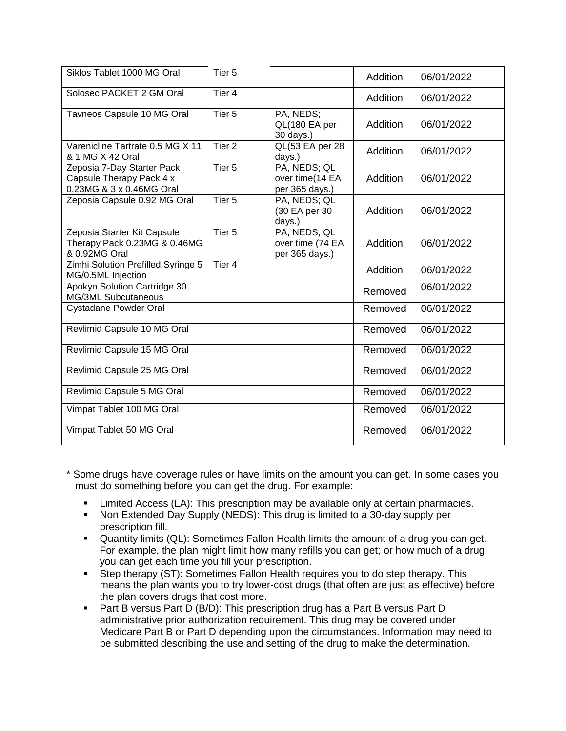| Siklos Tablet 1000 MG Oral                                                         | Tier <sub>5</sub> |                                                    | Addition | 06/01/2022 |
|------------------------------------------------------------------------------------|-------------------|----------------------------------------------------|----------|------------|
| Solosec PACKET 2 GM Oral                                                           | Tier 4            |                                                    | Addition | 06/01/2022 |
| Tavneos Capsule 10 MG Oral                                                         | Tier <sub>5</sub> | PA, NEDS;<br>QL(180 EA per<br>30 days.)            | Addition | 06/01/2022 |
| Varenicline Tartrate 0.5 MG X 11<br>& 1 MG X 42 Oral                               | Tier <sub>2</sub> | QL(53 EA per 28<br>days.)                          | Addition | 06/01/2022 |
| Zeposia 7-Day Starter Pack<br>Capsule Therapy Pack 4 x<br>0.23MG & 3 x 0.46MG Oral | Tier <sub>5</sub> | PA, NEDS; QL<br>over time(14 EA<br>per 365 days.)  | Addition | 06/01/2022 |
| Zeposia Capsule 0.92 MG Oral                                                       | Tier <sub>5</sub> | PA, NEDS; QL<br>(30 EA per 30<br>days.)            | Addition | 06/01/2022 |
| Zeposia Starter Kit Capsule<br>Therapy Pack 0.23MG & 0.46MG<br>& 0.92MG Oral       | Tier <sub>5</sub> | PA, NEDS; QL<br>over time (74 EA<br>per 365 days.) | Addition | 06/01/2022 |
| Zimhi Solution Prefilled Syringe 5<br>MG/0.5ML Injection                           | Tier <sub>4</sub> |                                                    | Addition | 06/01/2022 |
| Apokyn Solution Cartridge 30<br><b>MG/3ML Subcutaneous</b>                         |                   |                                                    | Removed  | 06/01/2022 |
| Cystadane Powder Oral                                                              |                   |                                                    | Removed  | 06/01/2022 |
| Revlimid Capsule 10 MG Oral                                                        |                   |                                                    | Removed  | 06/01/2022 |
| Revlimid Capsule 15 MG Oral                                                        |                   |                                                    | Removed  | 06/01/2022 |
| Revlimid Capsule 25 MG Oral                                                        |                   |                                                    | Removed  | 06/01/2022 |
| Revlimid Capsule 5 MG Oral                                                         |                   |                                                    | Removed  | 06/01/2022 |
| Vimpat Tablet 100 MG Oral                                                          |                   |                                                    | Removed  | 06/01/2022 |
| Vimpat Tablet 50 MG Oral                                                           |                   |                                                    | Removed  | 06/01/2022 |

- \* Some drugs have coverage rules or have limits on the amount you can get. In some cases you must do something before you can get the drug. For example:
	- **EXTERG** Access (LA): This prescription may be available only at certain pharmacies.
	- Non Extended Day Supply (NEDS): This drug is limited to a 30-day supply per prescription fill.
	- Quantity limits (QL): Sometimes Fallon Health limits the amount of a drug you can get. For example, the plan might limit how many refills you can get; or how much of a drug you can get each time you fill your prescription.
	- **Step therapy (ST): Sometimes Fallon Health requires you to do step therapy. This** means the plan wants you to try lower-cost drugs (that often are just as effective) before the plan covers drugs that cost more.
	- Part B versus Part D (B/D): This prescription drug has a Part B versus Part D administrative prior authorization requirement. This drug may be covered under Medicare Part B or Part D depending upon the circumstances. Information may need to be submitted describing the use and setting of the drug to make the determination.